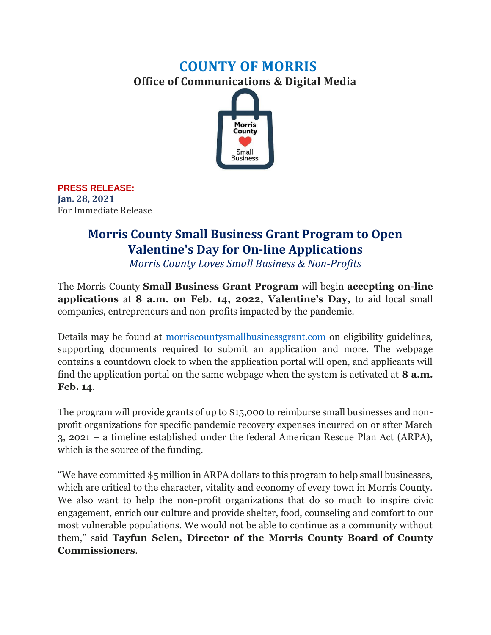## **COUNTY OF MORRIS Office of Communications & Digital Media**



**PRESS RELEASE: Jan. 28, 2021** For Immediate Release

## **Morris County Small Business Grant Program to Open Valentine's Day for On-line Applications**

*Morris County Loves Small Business & Non-Profits*

The Morris County **Small Business Grant Program** will begin **accepting on-line applications** at **8 a.m. on Feb. 14, 2022, Valentine's Day,** to aid local small companies, entrepreneurs and non-profits impacted by the pandemic.

Details may be found at [morriscountysmallbusinessgrant.com](https://solixconsulting.force.com/MorrisCountySBG/s/) on eligibility guidelines, supporting documents required to submit an application and more. The webpage contains a countdown clock to when the application portal will open, and applicants will find the application portal on the same webpage when the system is activated at **8 a.m. Feb. 14**.

The program will provide grants of up to \$15,000 to reimburse small businesses and nonprofit organizations for specific pandemic recovery expenses incurred on or after March 3, 2021 – a timeline established under the federal American Rescue Plan Act (ARPA), which is the source of the funding.

"We have committed \$5 million in ARPA dollars to this program to help small businesses, which are critical to the character, vitality and economy of every town in Morris County. We also want to help the non-profit organizations that do so much to inspire civic engagement, enrich our culture and provide shelter, food, counseling and comfort to our most vulnerable populations. We would not be able to continue as a community without them," said **Tayfun Selen, Director of the Morris County Board of County Commissioners**.